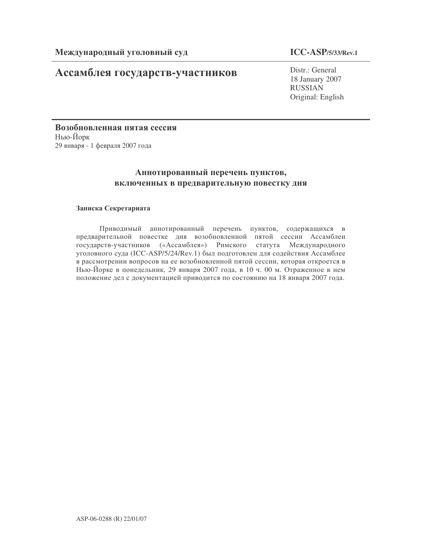# Ассамблея государств-участников

## **ICC-ASP/5/33/Rev.1**

Distr.: General 18 January 2007 RUSSIAN Original: English

Возобновленная пятая сессия Нью-Йорк 29 января - 1 февраля 2007 года

## Аннотированный перечень пунктов, включенных в предварительную повестку дня

### Записка Секретариата

Приводимый аннотированный перечень пунктов, содержащихся в предварительной повестке дня возобновленной пятой сессии Ассамблеи государств-участников («Ассамблея») Римского статута Международного уголовного суда (ICC-ASP/5/24/Rev.1) был подготовлен для содействия Ассамблее в рассмотрении вопросов на ее возобновленной пятой сессии, которая откроется в Нью-Йорке в понедельник, 29 января 2007 года, в 10 ч. 00 м. Отраженное в нем положение дел с документацией приводится по состоянию на 18 января 2007 года.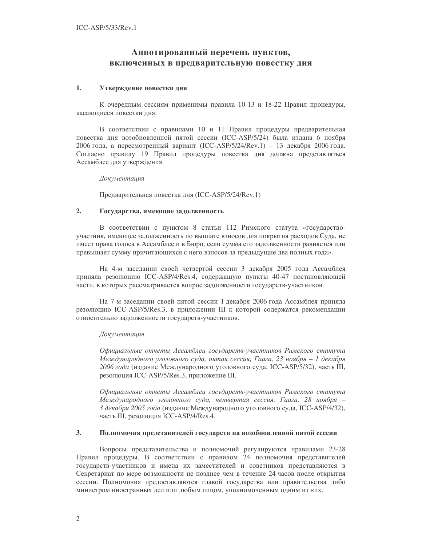## Аннотированный перечень пунктов, включенных в предварительную повестку дня

### 1. Утверждение повестки дня

К очередным сессиям применимы правила 10-13 и 18-22 Правил процедуры, касающиеся повестки дня.

В соответствии с правилами 10 и 11 Правил процедуры предварительная повестка дня возобновленной пятой сессии (ICC-ASP/5/24) была издана 6 ноября 2006 года, а пересмотренный вариант (ICC-ASP/5/24/Rev.1) - 13 декабря 2006 года. Согласно правилу 19 Правил процедуры повестка дня должна представляться Ассамблее для утверждения.

#### Документация

Предварительная повестка дня (ICC-ASP/5/24/Rev.1)

### 2. Государства, имеющие задолженность

В соответствии с пунктом 8 статьи 112 Римского статута «государствоучастник, имеющее задолженность по выплате взносов для покрытия расходов Суда, не имеет права голоса в Ассамблее и в Бюро, если сумма его задолженности равняется или превышает сумму причитающихся с него взносов за предыдущие два полных года».

На 4-м заседании своей четвертой сессии 3 декабря 2005 года Ассамблея приняла резолюцию ICC-ASP/4/Res.4, содержащую пункты 40-47 постановляющей части, в которых рассматривается вопрос задолженности государств-участников.

На 7-м заседании своей пятой сессии 1 декабря 2006 года Ассамблея приняла резолюцию ICC-ASP/5/Res.3, в приложении III к которой содержатся рекомендации относительно задолженности государств-участников.

#### Документация

Официальные отчеты Ассамблеи государств-участников Римского статута Международного уголовного суда, пятая сессия, Гаага, 23 ноября – 1 декабря 2006 года (издание Международного уголовного суда, ICC-ASP/5/32), часть III, резолюция ICC-ASP/5/Res.3, приложение III.

Официальные отчеты Ассамблеи государств-участников Римского статута Международного уголовного суда, четвертая сессия, Гаага, 28 ноября – 3 декабря 2005 года (издание Международного уголовного суда, ICC-ASP/4/32), часть III, резолюция ICC-ASP/4/Res.4.

#### 3. Полномочия представителей государств на возобновленной пятой сессии

Вопросы представительства и полномочий регулируются правилами 23-28 Правил процедуры. В соответствии с правилом 24 полномочия представителей государств-участников и имена их заместителей и советников представляются в Секретариат по мере возможности не позднее чем в течение 24 часов после открытия сессии. Полномочия предоставляются главой государства или правительства либо министром иностранных дел или любым лицом, уполномоченным одним из них.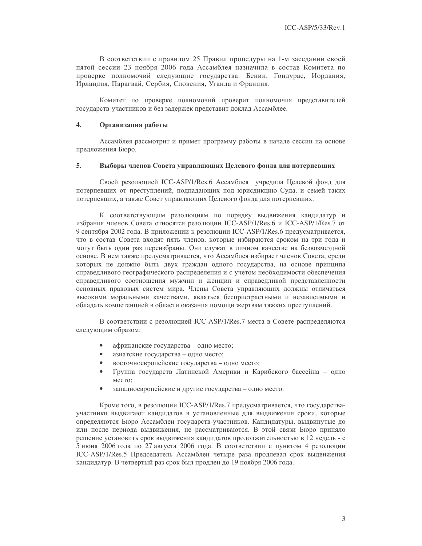В соответствии с правилом 25 Правил процедуры на 1-м заседании своей пятой сессии 23 ноября 2006 года Ассамблея назначила в состав Комитета по проверке полномочий следующие государства: Бенин, Гондурас, Иордания, Ирландия, Парагвай, Сербия, Словения, Уганда и Франция.

Комитет по проверке полномочий проверит полномочия представителей государств-участников и без задержек представит доклад Ассамблее.

#### 4. Организация работы

Ассамблея рассмотрит и примет программу работы в начале сессии на основе предложения Бюро.

#### 5. Выборы членов Совета управляющих Целевого фонда для потерпевших

Своей резолюцией ICC-ASP/1/Res.6 Ассамблея учредила Целевой фонд для потерпевших от преступлений, подпадающих под юрисдикцию Суда, и семей таких потерпевших, а также Совет управляющих Целевого фонда для потерпевших.

К соответствующим резолюциям по порядку выдвижения кандидатур и избрания членов Совета относятся резолюции ICC-ASP/1/Res.6 и ICC-ASP/1/Res.7 от 9 сентября 2002 года. В приложении к резолюции ICC-ASP/1/Res.6 предусматривается, что в состав Совета входят пять членов, которые избираются сроком на три года и могут быть один раз переизбраны. Они служат в личном качестве на безвозмездной основе. В нем также предусматривается, что Ассамблея избирает членов Совета, среди которых не должно быть двух граждан одного государства, на основе принципа справедливого географического распределения и с учетом необходимости обеспечения справедливого соотношения мужчин и женщин и справедливой представленности основных правовых систем мира. Члены Совета управляющих должны отличаться высокими моральными качествами, являться беспристрастными и независимыми и обладать компетенцией в области оказания помощи жертвам тяжких преступлений.

В соответствии с резолюцией ICC-ASP/1/Res.7 места в Совете распределяются следующим образом:

- африканские государства одно место;
- азиатские государства одно место;
- восточноевропейские государства одно место;
- Группа государств Латинской Америки и Карибского бассейна одно место;
- западноевропейские и другие государства одно место.

Кроме того, в резолюции ICC-ASP/1/Res.7 предусматривается, что государстваучастники выдвигают кандидатов в установленные для выдвижения сроки, которые определяются Бюро Ассамблеи государств-участников. Кандидатуры, выдвинутые до или после периода выдвижения, не рассматриваются. В этой связи Бюро приняло решение установить срок выдвижения кандидатов продолжительностью в 12 недель - с 5 июня 2006 года по 27 августа 2006 года. В соответствии с пунктом 4 резолюции ICC-ASP/1/Res.5 Председатель Ассамблеи четыре раза продлевал срок выдвижения кандидатур. В четвертый раз срок был продлен до 19 ноября 2006 года.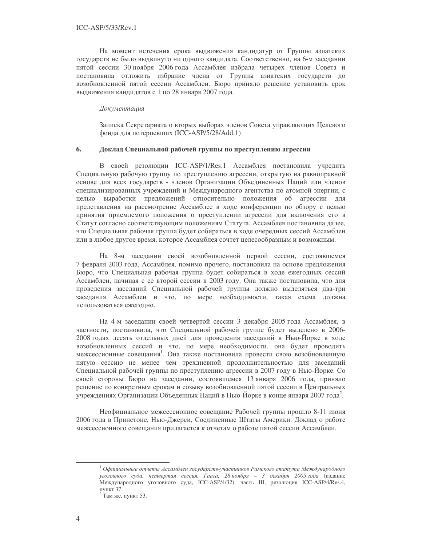На момент истечения срока выдвижения кандидатур от Группы азиатских государств не было выдвинуто ни одного кандидата. Соответственно, на 6-м заседании пятой сессии 30 ноября 2006 года Ассамблея избрала четырех членов Совета и постановила отложить избрание члена от Группы азиатских государств до возобновленной пятой сессии Ассамблеи. Бюро приняло решение установить срок выдвижения кандидатов с 1 по 28 января 2007 года.

#### Документация

Записка Секретариата о вторых выборах членов Совета управляющих Целевого фонда для потерпевших (ICC-ASP/5/28/Add.1)

#### 6. Доклад Специальной рабочей группы по преступлению агрессии

В своей резолюции ICC-ASP/1/Res.1 Ассамблея постановила учредить Специальную рабочую группу по преступлению агрессии, открытую на равноправной основе для всех государств - членов Организации Объединенных Наций или членов специализированных учреждений и Международного агентства по атомной энергии, с целью выработки предложений относительно положения об агрессии для представления на рассмотрение Ассамблее в ходе конференции по обзору с целью принятия приемлемого положения о преступлении агрессии для включения его в Статут согласно соответствующим положениям Статута. Ассамблея постановила далее, что Специальная рабочая группа будет собираться в ходе очередных сессий Ассамблеи или в любое другое время, которое Ассамблея сочтет целесообразным и возможным.

На 8-м заседании своей возобновленной первой сессии, состоявшемся 7 февраля 2003 года, Ассамблея, помимо прочего, постановила на основе предложения Бюро, что Специальная рабочая группа будет собираться в ходе ежегодных сессий Ассамблеи, начиная с ее второй сессии в 2003 году. Она также постановила, что для проведения заседаний Специальной рабочей группы должно выделяться два-три заседания Ассамблеи и что, по мере необходимости, такая схема должна использоваться ежегодно.

На 4-м заседании своей четвертой сессии 3 декабря 2005 года Ассамблея, в частности, постановила, что Специальной рабочей группе будет выделено в 2006-2008 годах десять отдельных дней для проведения заседаний в Нью-Йорке в ходе возобновленных сессий и что, по мере необходимости, она будет проводить межсессионные совещания<sup>1</sup>. Она также постановила провести свою возобновленную пятую сессию не менее чем трехдневной продолжительностью для заседаний Специальной рабочей группы по преступлению агрессии в 2007 году в Нью-Йорке. Со своей стороны Бюро на заседании, состоявшемся 13 января 2006 года, приняло решение по конкретным срокам и созыву возобновленной пятой сессии в Центральных учреждениях Организации Объеденных Наций в Нью-Йорке в конце января 2007 года<sup>2</sup>.

Неофициальное межсессионное совещание Рабочей группы прошло 8-11 июня 2006 года в Принстоне, Нью-Джерси, Соединенные Штаты Америки. Доклад о работе межсессионного совещания прилагается к отчетам о работе пятой сессии Ассамблеи.

 $^{-1}$ Официальные отчеты Ассамблеи государств-участников Римского статута Международного уголовного суда, четвертая сессия, Гаага, 28 ноября - 3 декабря 2005 года (издание Международного уголовного суда, ICC-ASP/4/32), часть III, резолюция ICC-ASP/4/Res.4, пункт 37.

<sup>&</sup>lt;sup>2</sup> Там же, пункт 53.